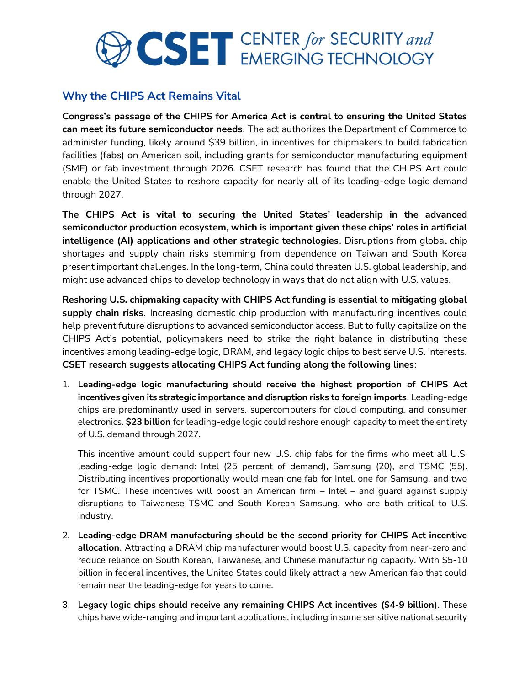## **CSET** CENTER for SECURITY and

## **Why the CHIPS Act Remains Vital**

**Congress's passage of the CHIPS for America Act is central to ensuring the United States can meet its future semiconductor needs**. The act authorizes the Department of Commerce to administer funding, likely around \$39 billion, in incentives for chipmakers to build fabrication facilities (fabs) on American soil, including grants for semiconductor manufacturing equipment (SME) or fab investment through 2026. CSET research has found that the CHIPS Act could enable the United States to reshore capacity for nearly all of its leading-edge logic demand through 2027.

**The CHIPS Act is vital to securing the United States' leadership in the advanced semiconductor production ecosystem, which is important given these chips' roles in artificial intelligence (AI) applications and other strategic technologies**. Disruptions from global chip shortages and supply chain risks stemming from dependence on Taiwan and South Korea present important challenges. In the long-term, China could threaten U.S. global leadership, and might use advanced chips to develop technology in ways that do not align with U.S. values.

**Reshoring U.S. chipmaking capacity with CHIPS Act funding is essential to mitigating global supply chain risks**. Increasing domestic chip production with manufacturing incentives could help prevent future disruptions to advanced semiconductor access. But to fully capitalize on the CHIPS Act's potential, policymakers need to strike the right balance in distributing these incentives among leading-edge logic, DRAM, and legacy logic chips to best serve U.S. interests. **CSET research suggests allocating CHIPS Act funding along the following lines**:

1. **Leading-edge logic manufacturing should receive the highest proportion of CHIPS Act incentives given its strategic importance and disruption risks to foreign imports**. Leading-edge chips are predominantly used in servers, supercomputers for cloud computing, and consumer electronics. **\$23 billion** for leading-edge logic could reshore enough capacity to meet the entirety of U.S. demand through 2027.

This incentive amount could support four new U.S. chip fabs for the firms who meet all U.S. leading-edge logic demand: Intel (25 percent of demand), Samsung (20), and TSMC (55). Distributing incentives proportionally would mean one fab for Intel, one for Samsung, and two for TSMC. These incentives will boost an American firm – Intel – and guard against supply disruptions to Taiwanese TSMC and South Korean Samsung, who are both critical to U.S. industry.

- 2. **Leading-edge DRAM manufacturing should be the second priority for CHIPS Act incentive allocation**. Attracting a DRAM chip manufacturer would boost U.S. capacity from near-zero and reduce reliance on South Korean, Taiwanese, and Chinese manufacturing capacity. With \$5-10 billion in federal incentives, the United States could likely attract a new American fab that could remain near the leading-edge for years to come.
- 3. **Legacy logic chips should receive any remaining CHIPS Act incentives (\$4-9 billion)**. These chips have wide-ranging and important applications, including in some sensitive national security